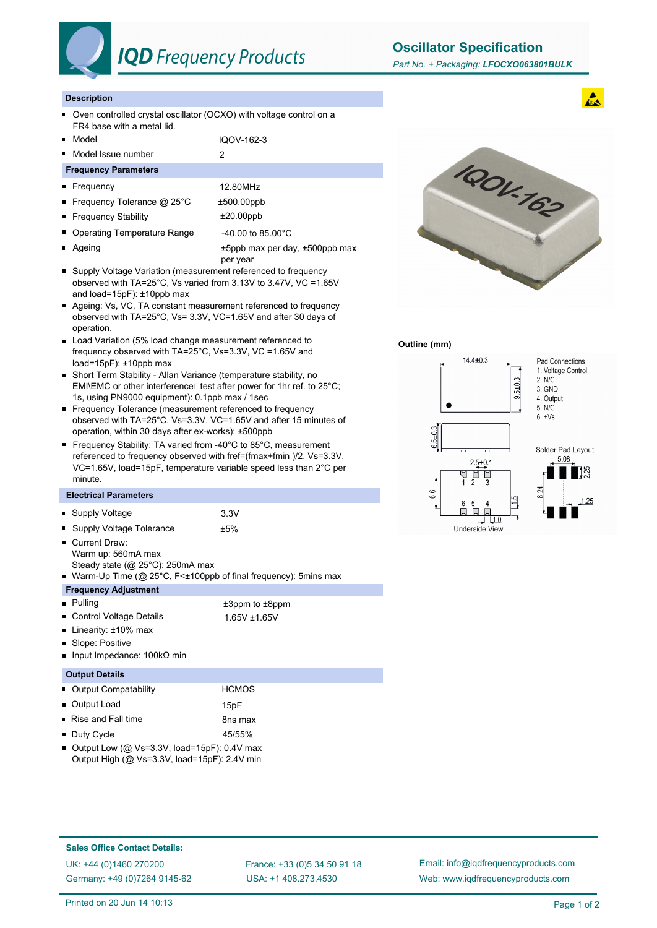

## **IQD** Frequency Products

**Oscillator Specification**

#### **Description**

- Oven controlled crystal oscillator (OCXO) with voltage control on a  $\blacksquare$ FR4 base with a metal lid.
- Model and IQOV-162-3
- Model Issue number 2

#### **Frequency Parameters**

- Frequency 12.80MHz
- Frequency Tolerance @ 25°C  $\pm$ 500.00ppb
- Frequency Stability **±20.00ppb**
- Operating Temperature Range 40.00 to 85.00°C
- 
- Ageing the according the top of the top of the top of the top of the top of the top of the top of the top of the top of the top of the top of the top of the top of the top of the top of the top of the top of the top of per year
- Supply Voltage Variation (measurement referenced to frequency observed with TA=25°C, Vs varied from 3.13V to 3.47V, VC =1.65V and load=15pF): ±10ppb max
- Ageing: Vs, VC, TA constant measurement referenced to frequency observed with TA=25°C, Vs= 3.3V, VC=1.65V and after 30 days of operation.
- Load Variation (5% load change measurement referenced to frequency observed with TA=25°C, Vs=3.3V, VC =1.65V and load=15pF): ±10ppb max
- Short Term Stability Allan Variance (temperature stability, no EMI\EMC or other interference $\square$  test after power for 1hr ref. to 25°C; 1s, using PN9000 equipment): 0.1ppb max / 1sec
- Frequency Tolerance (measurement referenced to frequency observed with TA=25°C, Vs=3.3V, VC=1.65V and after 15 minutes of operation, within 30 days after ex-works): ±500ppb
- Frequency Stability: TA varied from -40°C to 85°C, measurement referenced to frequency observed with fref=(fmax+fmin )/2, Vs=3.3V, VC=1.65V, load=15pF, temperature variable speed less than 2°C per minute.

#### **Electrical Parameters**

|                       | • Supply Voltage                                                                                                                                                                   | 3.3V                                 |  |  |
|-----------------------|------------------------------------------------------------------------------------------------------------------------------------------------------------------------------------|--------------------------------------|--|--|
|                       | • Supply Voltage Tolerance<br>■ Current Draw:<br>Warm up: 560mA max<br>Steady state ( $@$ 25 $°C$ ): 250mA max<br>■ Warm-Up Time (@ 25°C, F<±100ppb of final frequency): 5mins max | ±5%                                  |  |  |
|                       | <b>Frequency Adjustment</b>                                                                                                                                                        |                                      |  |  |
|                       | <b>Pulling</b><br>• Control Voltage Details<br>■ Linearity: ±10% max<br>• Slope: Positive<br>lnput Impedance: $100 \text{k}\Omega$ min                                             | $±3$ ppm to $±8$ ppm<br>1.65V ±1.65V |  |  |
| <b>Output Details</b> |                                                                                                                                                                                    |                                      |  |  |
|                       | <b>Output Compatability</b>                                                                                                                                                        | <b>HCMOS</b>                         |  |  |
| П                     | <b>Output Load</b>                                                                                                                                                                 | 15nF                                 |  |  |

| ouwur Louu                        | ושטו    |
|-----------------------------------|---------|
| $\blacksquare$ Rise and Fall time | 8ns max |
| ■ Duty Cycle                      | 45/55%  |

Output Low (@ Vs=3.3V, load=15pF): 0.4V max Output High (@ Vs=3.3V, load=15pF): 2.4V min



#### **Outline (mm)**



# Solder Pad Layout  $1.25$

### **Sales Office Contact Details:**

UK: +44 (0)1460 270200 France: +33 (0)5 34 50 91 18 Germany: +49 (0)7264 9145-62

USA: +1 408.273.4530

Email: info@iqdfrequencyproducts.com Web: www.iqdfrequencyproducts.com